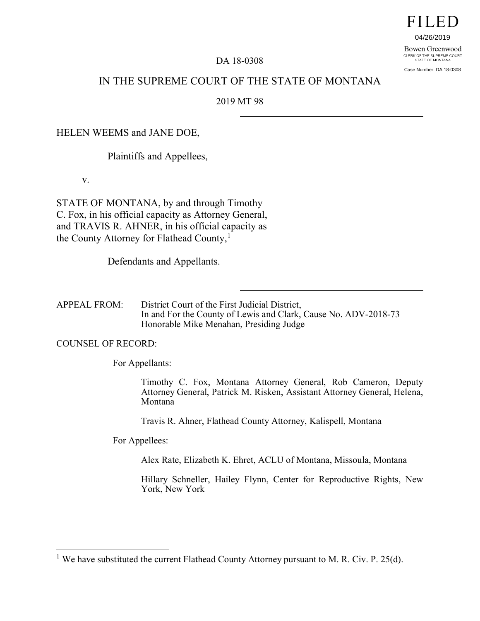# FILED

04/26/2019

Bowen Greenwood CLERK OF THE SUPREME COURT<br>STATE OF MONTANA Case Number: DA 18-0308

# DA 18-0308

# IN THE SUPREME COURT OF THE STATE OF MONTANA

2019 MT 98

# HELEN WEEMS and JANE DOE,

Plaintiffs and Appellees,

v.

STATE OF MONTANA, by and through Timothy C. Fox, in his official capacity as Attorney General, and TRAVIS R. AHNER, in his official capacity as the County Attorney for Flathead County, [1](#page-0-0)

Defendants and Appellants.

APPEAL FROM: District Court of the First Judicial District, In and For the County of Lewis and Clark, Cause No. ADV-2018-73 Honorable Mike Menahan, Presiding Judge

COUNSEL OF RECORD:

 $\overline{a}$ 

For Appellants:

Timothy C. Fox, Montana Attorney General, Rob Cameron, Deputy Attorney General, Patrick M. Risken, Assistant Attorney General, Helena, Montana

Travis R. Ahner, Flathead County Attorney, Kalispell, Montana

For Appellees:

Alex Rate, Elizabeth K. Ehret, ACLU of Montana, Missoula, Montana

Hillary Schneller, Hailey Flynn, Center for Reproductive Rights, New York, New York

<span id="page-0-0"></span><sup>&</sup>lt;sup>1</sup> We have substituted the current Flathead County Attorney pursuant to M. R. Civ. P. 25(d).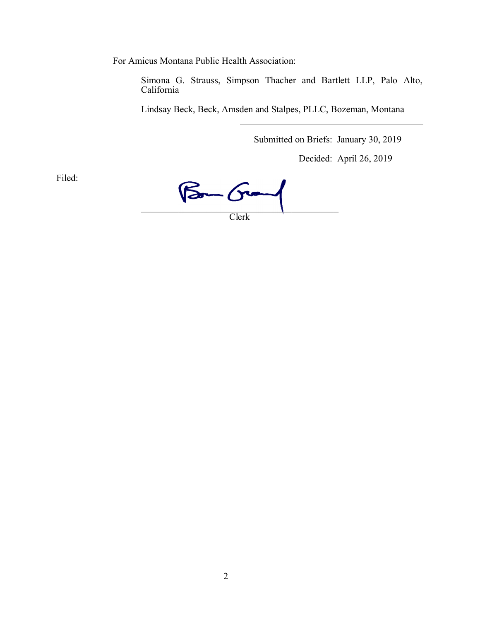For Amicus Montana Public Health Association:

Simona G. Strauss, Simpson Thacher and Bartlett LLP, Palo Alto, California

Lindsay Beck, Beck, Amsden and Stalpes, PLLC, Bozeman, Montana

Submitted on Briefs: January 30, 2019

Decided: April 26, 2019

Filed:

 $B - G -$ Clerk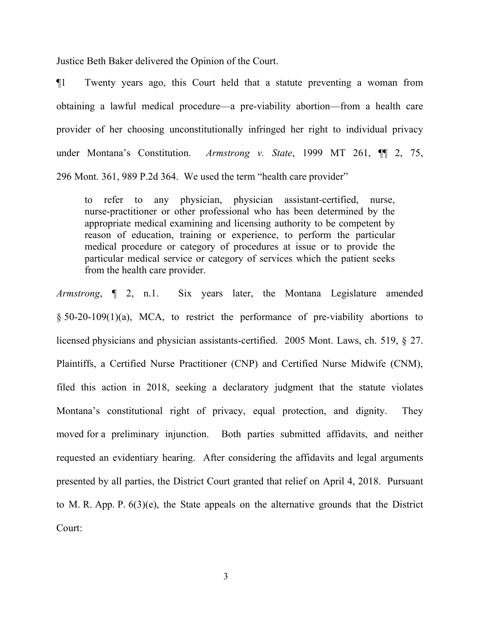Justice Beth Baker delivered the Opinion of the Court.

¶1 Twenty years ago, this Court held that a statute preventing a woman from obtaining a lawful medical procedure—a pre-viability abortion—from a health care provider of her choosing unconstitutionally infringed her right to individual privacy under Montana's Constitution. *Armstrong v. State*, 1999 MT 261, ¶¶ 2, 75, 296 Mont. 361, 989 P.2d 364. We used the term "health care provider"

to refer to any physician, physician assistant-certified, nurse, nurse-practitioner or other professional who has been determined by the appropriate medical examining and licensing authority to be competent by reason of education, training or experience, to perform the particular medical procedure or category of procedures at issue or to provide the particular medical service or category of services which the patient seeks from the health care provider.

*Armstrong*, ¶ 2, n.1. Six years later, the Montana Legislature amended § 50-20-109(1)(a), MCA, to restrict the performance of pre-viability abortions to licensed physicians and physician assistants-certified. 2005 Mont. Laws, ch. 519, § 27. Plaintiffs, a Certified Nurse Practitioner (CNP) and Certified Nurse Midwife (CNM), filed this action in 2018, seeking a declaratory judgment that the statute violates Montana's constitutional right of privacy, equal protection, and dignity. They moved for a preliminary injunction. Both parties submitted affidavits, and neither requested an evidentiary hearing. After considering the affidavits and legal arguments presented by all parties, the District Court granted that relief on April 4, 2018. Pursuant to M. R. App. P. 6(3)(e), the State appeals on the alternative grounds that the District Court: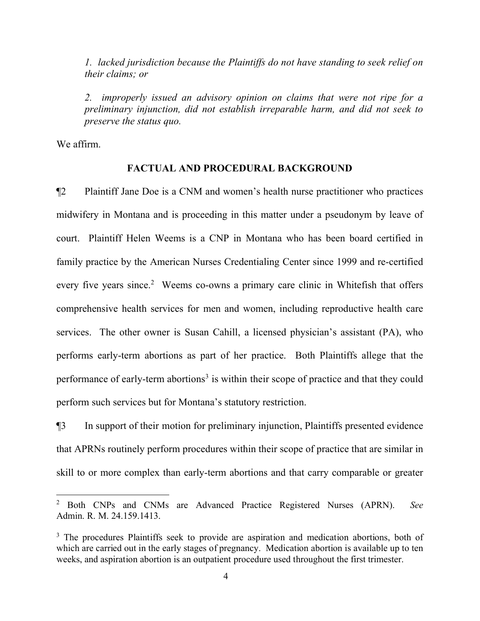*1. lacked jurisdiction because the Plaintiffs do not have standing to seek relief on their claims; or*

*2. improperly issued an advisory opinion on claims that were not ripe for a preliminary injunction, did not establish irreparable harm, and did not seek to preserve the status quo.*

We affirm.

 $\overline{a}$ 

### **FACTUAL AND PROCEDURAL BACKGROUND**

¶2 Plaintiff Jane Doe is a CNM and women's health nurse practitioner who practices midwifery in Montana and is proceeding in this matter under a pseudonym by leave of court. Plaintiff Helen Weems is a CNP in Montana who has been board certified in family practice by the American Nurses Credentialing Center since 1999 and re-certified every five years since.<sup>[2](#page-3-0)</sup> Weems co-owns a primary care clinic in Whitefish that offers comprehensive health services for men and women, including reproductive health care services. The other owner is Susan Cahill, a licensed physician's assistant (PA), who performs early-term abortions as part of her practice. Both Plaintiffs allege that the performance of early-term abortions<sup>[3](#page-3-1)</sup> is within their scope of practice and that they could perform such services but for Montana's statutory restriction.

¶3 In support of their motion for preliminary injunction, Plaintiffs presented evidence that APRNs routinely perform procedures within their scope of practice that are similar in skill to or more complex than early-term abortions and that carry comparable or greater

<span id="page-3-0"></span><sup>2</sup> Both CNPs and CNMs are Advanced Practice Registered Nurses (APRN). *See*  Admin. R. M. 24.159.1413.

<span id="page-3-1"></span><sup>&</sup>lt;sup>3</sup> The procedures Plaintiffs seek to provide are aspiration and medication abortions, both of which are carried out in the early stages of pregnancy. Medication abortion is available up to ten weeks, and aspiration abortion is an outpatient procedure used throughout the first trimester.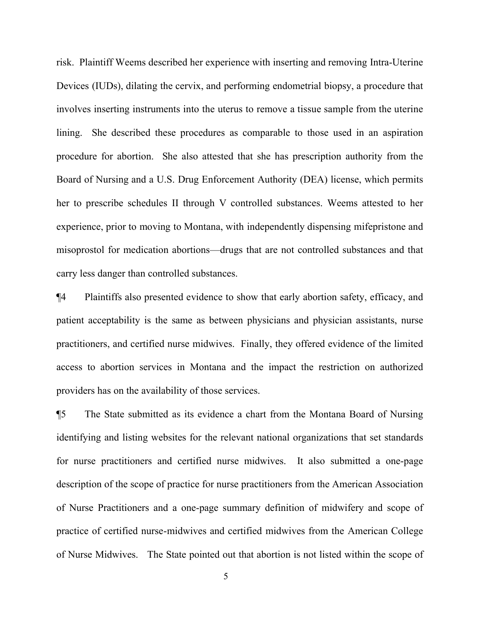risk. Plaintiff Weems described her experience with inserting and removing Intra-Uterine Devices (IUDs), dilating the cervix, and performing endometrial biopsy, a procedure that involves inserting instruments into the uterus to remove a tissue sample from the uterine lining. She described these procedures as comparable to those used in an aspiration procedure for abortion. She also attested that she has prescription authority from the Board of Nursing and a U.S. Drug Enforcement Authority (DEA) license, which permits her to prescribe schedules II through V controlled substances. Weems attested to her experience, prior to moving to Montana, with independently dispensing mifepristone and misoprostol for medication abortions—drugs that are not controlled substances and that carry less danger than controlled substances.

¶4 Plaintiffs also presented evidence to show that early abortion safety, efficacy, and patient acceptability is the same as between physicians and physician assistants, nurse practitioners, and certified nurse midwives. Finally, they offered evidence of the limited access to abortion services in Montana and the impact the restriction on authorized providers has on the availability of those services.

¶5 The State submitted as its evidence a chart from the Montana Board of Nursing identifying and listing websites for the relevant national organizations that set standards for nurse practitioners and certified nurse midwives. It also submitted a one-page description of the scope of practice for nurse practitioners from the American Association of Nurse Practitioners and a one-page summary definition of midwifery and scope of practice of certified nurse-midwives and certified midwives from the American College of Nurse Midwives. The State pointed out that abortion is not listed within the scope of

5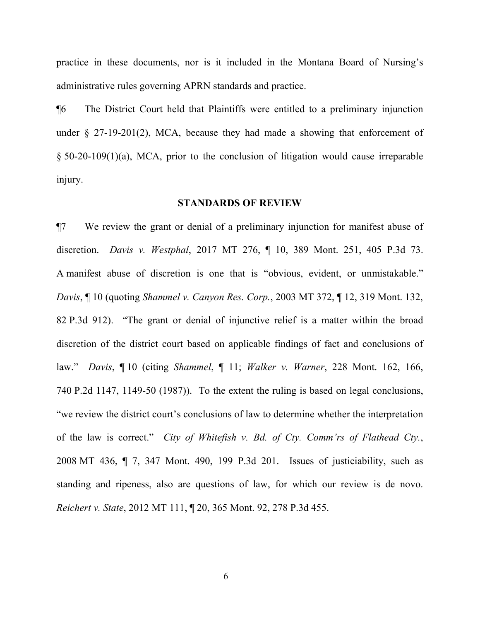practice in these documents, nor is it included in the Montana Board of Nursing's administrative rules governing APRN standards and practice.

¶6 The District Court held that Plaintiffs were entitled to a preliminary injunction under  $\S$  27-19-201(2), MCA, because they had made a showing that enforcement of § 50-20-109(1)(a), MCA, prior to the conclusion of litigation would cause irreparable injury.

# **STANDARDS OF REVIEW**

¶7 We review the grant or denial of a preliminary injunction for manifest abuse of discretion. *Davis v. Westphal*, 2017 MT 276, ¶ 10, 389 Mont. 251, 405 P.3d 73. A manifest abuse of discretion is one that is "obvious, evident, or unmistakable." *Davis*, ¶ 10 (quoting *Shammel v. Canyon Res. Corp.*, 2003 MT 372, ¶ 12, 319 Mont. 132, 82 P.3d 912). "The grant or denial of injunctive relief is a matter within the broad discretion of the district court based on applicable findings of fact and conclusions of law." *Davis*, ¶ 10 (citing *Shammel*, ¶ 11; *Walker v. Warner*, 228 Mont. 162, 166, 740 P.2d 1147, 1149-50 (1987)). To the extent the ruling is based on legal conclusions, "we review the district court's conclusions of law to determine whether the interpretation of the law is correct." *City of Whitefish v. Bd. of Cty. Comm'rs of Flathead Cty.*, 2008 MT 436, ¶ 7, 347 Mont. 490, 199 P.3d 201. Issues of justiciability, such as standing and ripeness, also are questions of law, for which our review is de novo. *Reichert v. State*, 2012 MT 111, ¶ 20, 365 Mont. 92, 278 P.3d 455.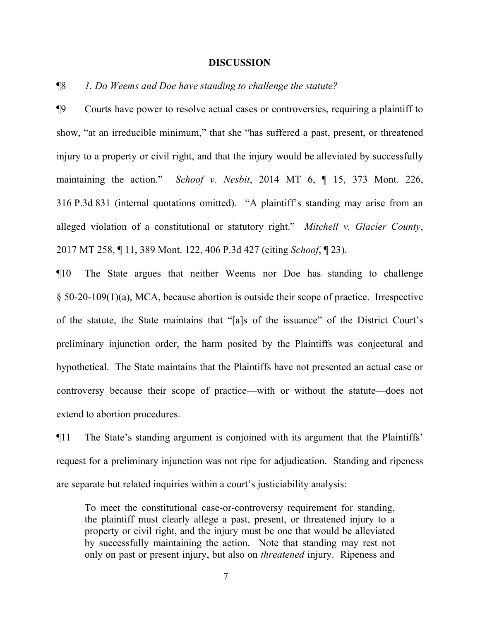#### **DISCUSSION**

# ¶8 *1. Do Weems and Doe have standing to challenge the statute?*

¶9 Courts have power to resolve actual cases or controversies, requiring a plaintiff to show, "at an irreducible minimum," that she "has suffered a past, present, or threatened injury to a property or civil right, and that the injury would be alleviated by successfully maintaining the action." *Schoof v. Nesbit*, 2014 MT 6, ¶ 15, 373 Mont. 226, 316 P.3d 831 (internal quotations omitted). "A plaintiff's standing may arise from an alleged violation of a constitutional or statutory right." *Mitchell v. Glacier County*, 2017 MT 258, ¶ 11, 389 Mont. 122, 406 P.3d 427 (citing *Schoof*, ¶ 23).

¶10 The State argues that neither Weems nor Doe has standing to challenge § 50-20-109(1)(a), MCA, because abortion is outside their scope of practice. Irrespective of the statute, the State maintains that "[a]s of the issuance" of the District Court's preliminary injunction order, the harm posited by the Plaintiffs was conjectural and hypothetical. The State maintains that the Plaintiffs have not presented an actual case or controversy because their scope of practice—with or without the statute—does not extend to abortion procedures.

¶11 The State's standing argument is conjoined with its argument that the Plaintiffs' request for a preliminary injunction was not ripe for adjudication. Standing and ripeness are separate but related inquiries within a court's justiciability analysis:

To meet the constitutional case-or-controversy requirement for standing, the plaintiff must clearly allege a past, present, or threatened injury to a property or civil right, and the injury must be one that would be alleviated by successfully maintaining the action. Note that standing may rest not only on past or present injury, but also on *threatened* injury. Ripeness and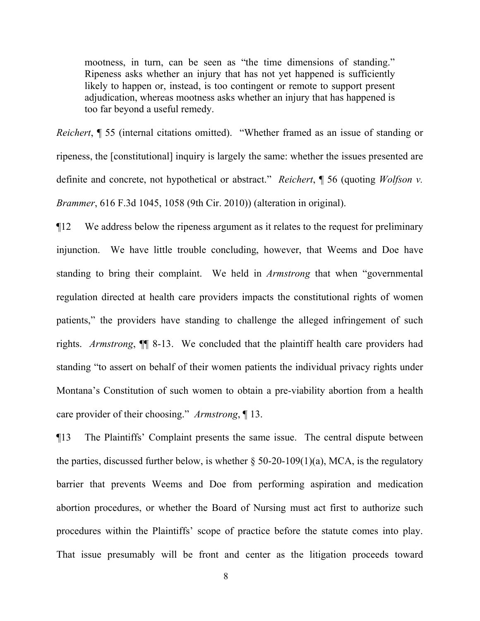mootness, in turn, can be seen as "the time dimensions of standing." Ripeness asks whether an injury that has not yet happened is sufficiently likely to happen or, instead, is too contingent or remote to support present adjudication, whereas mootness asks whether an injury that has happened is too far beyond a useful remedy.

*Reichert*, **[55** (internal citations omitted). "Whether framed as an issue of standing or ripeness, the [constitutional] inquiry is largely the same: whether the issues presented are definite and concrete, not hypothetical or abstract." *Reichert*, ¶ 56 (quoting *Wolfson v. Brammer*, 616 F.3d 1045, 1058 (9th Cir. 2010)) (alteration in original).

¶12 We address below the ripeness argument as it relates to the request for preliminary injunction. We have little trouble concluding, however, that Weems and Doe have standing to bring their complaint. We held in *Armstrong* that when "governmental regulation directed at health care providers impacts the constitutional rights of women patients," the providers have standing to challenge the alleged infringement of such rights. *Armstrong*, ¶¶ 8-13. We concluded that the plaintiff health care providers had standing "to assert on behalf of their women patients the individual privacy rights under Montana's Constitution of such women to obtain a pre-viability abortion from a health care provider of their choosing." *Armstrong*, ¶ 13.

¶13 The Plaintiffs' Complaint presents the same issue. The central dispute between the parties, discussed further below, is whether  $\S$  50-20-109(1)(a), MCA, is the regulatory barrier that prevents Weems and Doe from performing aspiration and medication abortion procedures, or whether the Board of Nursing must act first to authorize such procedures within the Plaintiffs' scope of practice before the statute comes into play. That issue presumably will be front and center as the litigation proceeds toward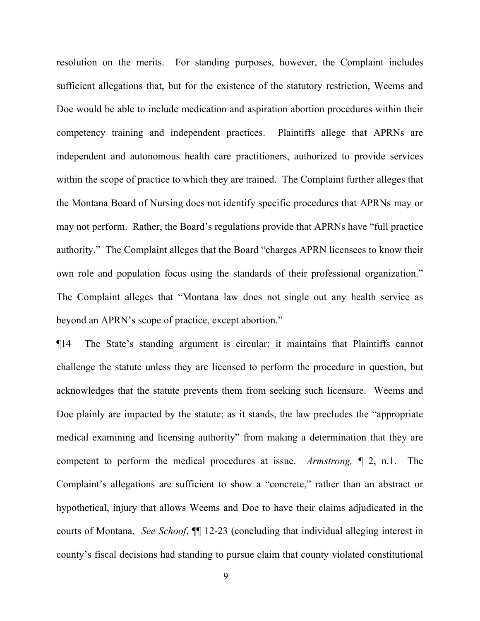resolution on the merits. For standing purposes, however, the Complaint includes sufficient allegations that, but for the existence of the statutory restriction, Weems and Doe would be able to include medication and aspiration abortion procedures within their competency training and independent practices. Plaintiffs allege that APRNs are independent and autonomous health care practitioners, authorized to provide services within the scope of practice to which they are trained. The Complaint further alleges that the Montana Board of Nursing does not identify specific procedures that APRNs may or may not perform. Rather, the Board's regulations provide that APRNs have "full practice authority." The Complaint alleges that the Board "charges APRN licensees to know their own role and population focus using the standards of their professional organization." The Complaint alleges that "Montana law does not single out any health service as beyond an APRN's scope of practice, except abortion."

¶14 The State's standing argument is circular: it maintains that Plaintiffs cannot challenge the statute unless they are licensed to perform the procedure in question, but acknowledges that the statute prevents them from seeking such licensure. Weems and Doe plainly are impacted by the statute; as it stands, the law precludes the "appropriate medical examining and licensing authority" from making a determination that they are competent to perform the medical procedures at issue. *Armstrong, ¶* 2, n.1. The Complaint's allegations are sufficient to show a "concrete," rather than an abstract or hypothetical, injury that allows Weems and Doe to have their claims adjudicated in the courts of Montana. *See Schoof*, ¶¶ 12-23 (concluding that individual alleging interest in county's fiscal decisions had standing to pursue claim that county violated constitutional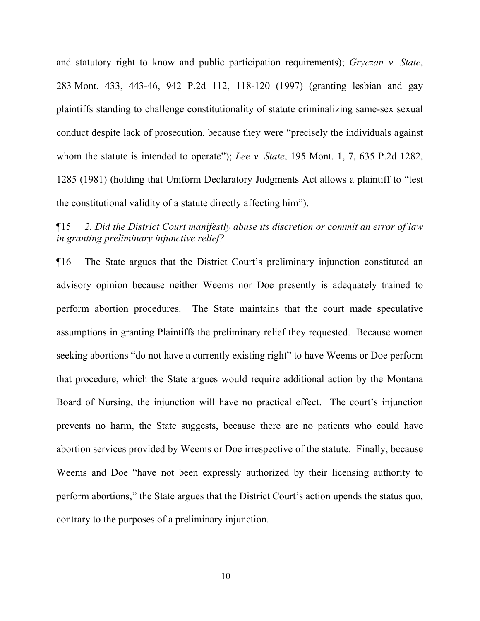and statutory right to know and public participation requirements); *Gryczan v. State*, 283 Mont. 433, 443-46, 942 P.2d 112, 118-120 (1997) (granting lesbian and gay plaintiffs standing to challenge constitutionality of statute criminalizing same-sex sexual conduct despite lack of prosecution, because they were "precisely the individuals against whom the statute is intended to operate"); *Lee v. State*, 195 Mont. 1, 7, 635 P.2d 1282, 1285 (1981) (holding that Uniform Declaratory Judgments Act allows a plaintiff to "test the constitutional validity of a statute directly affecting him").

¶15 *2. Did the District Court manifestly abuse its discretion or commit an error of law in granting preliminary injunctive relief?*

¶16 The State argues that the District Court's preliminary injunction constituted an advisory opinion because neither Weems nor Doe presently is adequately trained to perform abortion procedures. The State maintains that the court made speculative assumptions in granting Plaintiffs the preliminary relief they requested. Because women seeking abortions "do not have a currently existing right" to have Weems or Doe perform that procedure, which the State argues would require additional action by the Montana Board of Nursing, the injunction will have no practical effect. The court's injunction prevents no harm, the State suggests, because there are no patients who could have abortion services provided by Weems or Doe irrespective of the statute. Finally, because Weems and Doe "have not been expressly authorized by their licensing authority to perform abortions," the State argues that the District Court's action upends the status quo, contrary to the purposes of a preliminary injunction.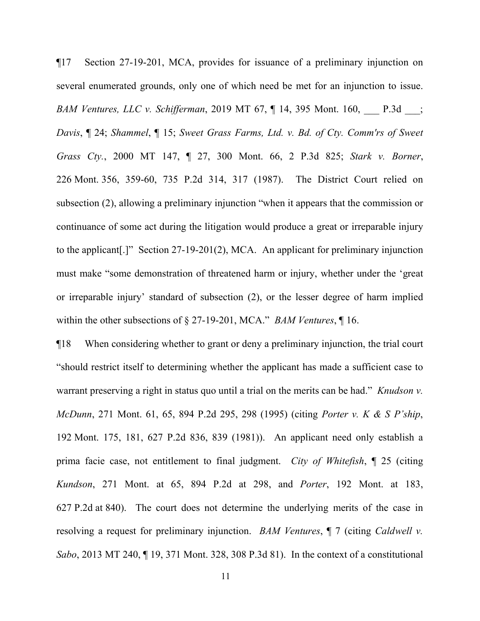¶17 Section 27-19-201, MCA, provides for issuance of a preliminary injunction on several enumerated grounds, only one of which need be met for an injunction to issue. *BAM Ventures, LLC v. Schifferman*, 2019 MT 67, ¶ 14, 395 Mont. 160, \_\_\_ P.3d \_\_\_; *Davis*, ¶ 24; *Shammel*, ¶ 15; *Sweet Grass Farms, Ltd. v. Bd. of Cty. Comm'rs of Sweet Grass Cty.*, 2000 MT 147, ¶ 27, 300 Mont. 66, 2 P.3d 825; *Stark v. Borner*, 226 Mont. 356, 359-60, 735 P.2d 314, 317 (1987). The District Court relied on subsection (2), allowing a preliminary injunction "when it appears that the commission or continuance of some act during the litigation would produce a great or irreparable injury to the applicant[.]" Section 27-19-201(2), MCA. An applicant for preliminary injunction must make "some demonstration of threatened harm or injury, whether under the 'great or irreparable injury' standard of subsection (2), or the lesser degree of harm implied within the other subsections of § 27-19-201, MCA." *BAM Ventures*, ¶ 16.

¶18 When considering whether to grant or deny a preliminary injunction, the trial court "should restrict itself to determining whether the applicant has made a sufficient case to warrant preserving a right in status quo until a trial on the merits can be had." *Knudson v. McDunn*, 271 Mont. 61, 65, 894 P.2d 295, 298 (1995) (citing *Porter v. K & S P'ship*, 192 Mont. 175, 181, 627 P.2d 836, 839 (1981)). An applicant need only establish a prima facie case, not entitlement to final judgment. *City of Whitefish*, ¶ 25 (citing *Kundson*, 271 Mont. at 65, 894 P.2d at 298, and *Porter*, 192 Mont. at 183, 627 P.2d at 840). The court does not determine the underlying merits of the case in resolving a request for preliminary injunction. *BAM Ventures*, ¶ 7 (citing *Caldwell v. Sabo*, 2013 MT 240, ¶ 19, 371 Mont. 328, 308 P.3d 81). In the context of a constitutional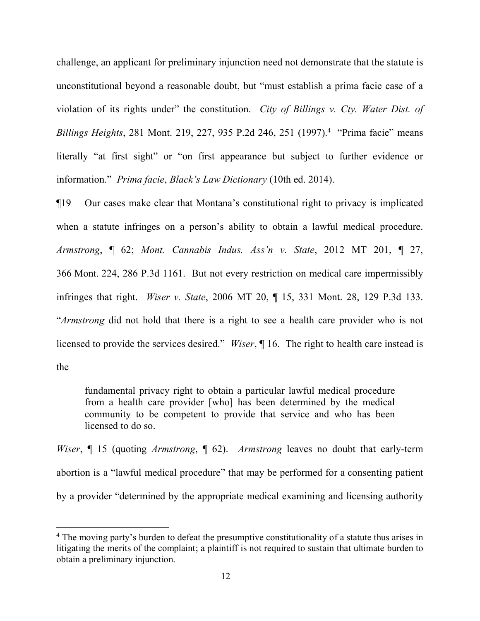challenge, an applicant for preliminary injunction need not demonstrate that the statute is unconstitutional beyond a reasonable doubt, but "must establish a prima facie case of a violation of its rights under" the constitution. *City of Billings v. Cty. Water Dist. of Billings Heights*, 281 Mont. 219, 227, 935 P.2d 2[4](#page-11-0)6, 251 (1997).<sup>4</sup> "Prima facie" means literally "at first sight" or "on first appearance but subject to further evidence or information." *Prima facie*, *Black's Law Dictionary* (10th ed. 2014).

¶19 Our cases make clear that Montana's constitutional right to privacy is implicated when a statute infringes on a person's ability to obtain a lawful medical procedure. *Armstrong*, ¶ 62; *Mont. Cannabis Indus. Ass'n v. State*, 2012 MT 201, ¶ 27, 366 Mont. 224, 286 P.3d 1161. But not every restriction on medical care impermissibly infringes that right. *Wiser v. State*, 2006 MT 20, ¶ 15, 331 Mont. 28, 129 P.3d 133. "*Armstrong* did not hold that there is a right to see a health care provider who is not licensed to provide the services desired." *Wiser*, ¶ 16. The right to health care instead is the

fundamental privacy right to obtain a particular lawful medical procedure from a health care provider [who] has been determined by the medical community to be competent to provide that service and who has been licensed to do so.

*Wiser*, ¶ 15 (quoting *Armstrong*, ¶ 62). *Armstrong* leaves no doubt that early-term abortion is a "lawful medical procedure" that may be performed for a consenting patient by a provider "determined by the appropriate medical examining and licensing authority

<span id="page-11-0"></span><sup>&</sup>lt;sup>4</sup> The moving party's burden to defeat the presumptive constitutionality of a statute thus arises in litigating the merits of the complaint; a plaintiff is not required to sustain that ultimate burden to obtain a preliminary injunction.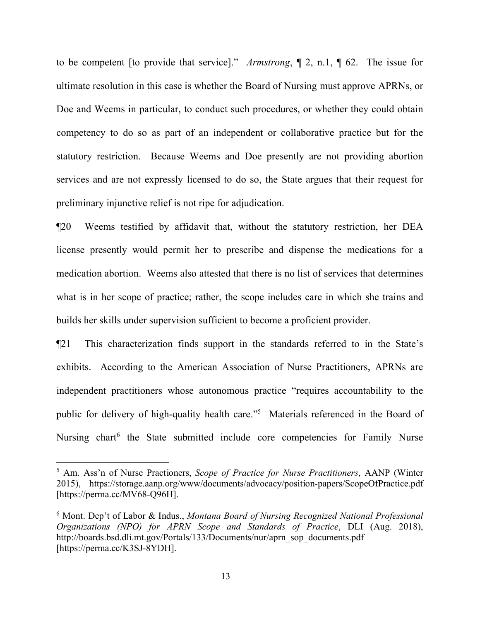to be competent [to provide that service]." *Armstrong*, ¶ 2, n.1, ¶ 62. The issue for ultimate resolution in this case is whether the Board of Nursing must approve APRNs, or Doe and Weems in particular, to conduct such procedures, or whether they could obtain competency to do so as part of an independent or collaborative practice but for the statutory restriction. Because Weems and Doe presently are not providing abortion services and are not expressly licensed to do so, the State argues that their request for preliminary injunctive relief is not ripe for adjudication.

¶20 Weems testified by affidavit that, without the statutory restriction, her DEA license presently would permit her to prescribe and dispense the medications for a medication abortion. Weems also attested that there is no list of services that determines what is in her scope of practice; rather, the scope includes care in which she trains and builds her skills under supervision sufficient to become a proficient provider.

¶21 This characterization finds support in the standards referred to in the State's exhibits. According to the American Association of Nurse Practitioners, APRNs are independent practitioners whose autonomous practice "requires accountability to the public for delivery of high-quality health care."<sup>[5](#page-12-0)</sup> Materials referenced in the Board of Nursing chart<sup>[6](#page-12-1)</sup> the State submitted include core competencies for Family Nurse

<span id="page-12-0"></span><sup>5</sup> Am. Ass'n of Nurse Practioners, *Scope of Practice for Nurse Practitioners*, AANP (Winter 2015), https://storage.aanp.org/www/documents/advocacy/position-papers/ScopeOfPractice.pdf [https://perma.cc/MV68-Q96H].

<span id="page-12-1"></span><sup>6</sup> Mont. Dep't of Labor & Indus., *Montana Board of Nursing Recognized National Professional Organizations (NPO) for APRN Scope and Standards of Practice*, DLI (Aug. 2018), http://boards.bsd.dli.mt.gov/Portals/133/Documents/nur/aprn\_sop\_documents.pdf [https://perma.cc/K3SJ-8YDH].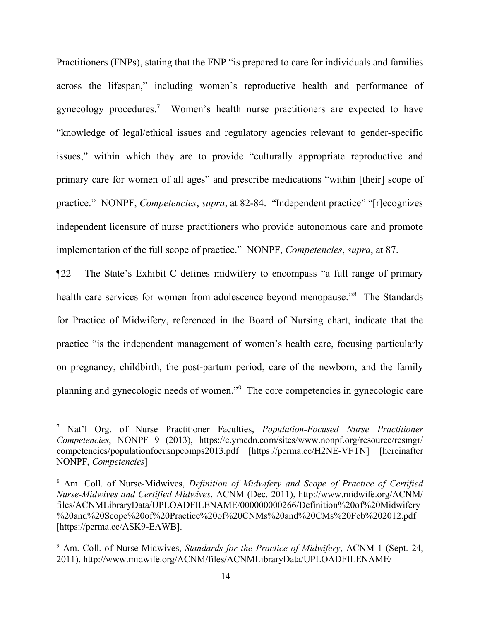Practitioners (FNPs), stating that the FNP "is prepared to care for individuals and families across the lifespan," including women's reproductive health and performance of gynecology procedures.<sup>[7](#page-13-0)</sup> Women's health nurse practitioners are expected to have "knowledge of legal/ethical issues and regulatory agencies relevant to gender-specific issues," within which they are to provide "culturally appropriate reproductive and primary care for women of all ages" and prescribe medications "within [their] scope of practice." NONPF, *Competencies*, *supra*, at 82-84. "Independent practice" "[r]ecognizes independent licensure of nurse practitioners who provide autonomous care and promote implementation of the full scope of practice." NONPF, *Competencies*, *supra*, at 87.

¶22 The State's Exhibit C defines midwifery to encompass "a full range of primary health care services for women from adolescence beyond menopause."<sup>[8](#page-13-1)</sup> The Standards for Practice of Midwifery, referenced in the Board of Nursing chart, indicate that the practice "is the independent management of women's health care, focusing particularly on pregnancy, childbirth, the post-partum period, care of the newborn, and the family planning and gynecologic needs of women."[9](#page-13-2) The core competencies in gynecologic care

<span id="page-13-0"></span><sup>7</sup> Nat'l Org. of Nurse Practitioner Faculties, *Population-Focused Nurse Practitioner Competencies*, NONPF 9 (2013), https://c.ymcdn.com/sites/www.nonpf.org/resource/resmgr/ competencies/populationfocusnpcomps2013.pdf [https://perma.cc/H2NE-VFTN] [hereinafter NONPF, *Competencies*]

<span id="page-13-1"></span><sup>8</sup> Am. Coll. of Nurse-Midwives, *Definition of Midwifery and Scope of Practice of Certified Nurse-Midwives and Certified Midwives*, ACNM (Dec. 2011), http://www.midwife.org/ACNM/ files/ACNMLibraryData/UPLOADFILENAME/000000000266/Definition%20of%20Midwifery %20and%20Scope%20of%20Practice%20of%20CNMs%20and%20CMs%20Feb%202012.pdf [https://perma.cc/ASK9-EAWB].

<span id="page-13-2"></span><sup>9</sup> Am. Coll. of Nurse-Midwives, *Standards for the Practice of Midwifery*, ACNM 1 (Sept. 24, 2011), http://www.midwife.org/ACNM/files/ACNMLibraryData/UPLOADFILENAME/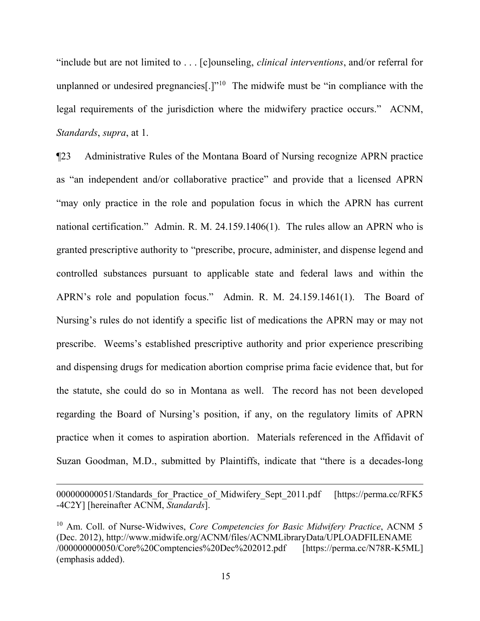"include but are not limited to . . . [c]ounseling, *clinical interventions*, and/or referral for unplanned or undesired pregnancies[ $.$ ]<sup> $\cdot$ [10](#page-14-0)</sup> The midwife must be "in compliance with the legal requirements of the jurisdiction where the midwifery practice occurs." ACNM, *Standards*, *supra*, at 1.

¶23 Administrative Rules of the Montana Board of Nursing recognize APRN practice as "an independent and/or collaborative practice" and provide that a licensed APRN "may only practice in the role and population focus in which the APRN has current national certification." Admin. R. M. 24.159.1406(1). The rules allow an APRN who is granted prescriptive authority to "prescribe, procure, administer, and dispense legend and controlled substances pursuant to applicable state and federal laws and within the APRN's role and population focus." Admin. R. M. 24.159.1461(1). The Board of Nursing's rules do not identify a specific list of medications the APRN may or may not prescribe. Weems's established prescriptive authority and prior experience prescribing and dispensing drugs for medication abortion comprise prima facie evidence that, but for the statute, she could do so in Montana as well. The record has not been developed regarding the Board of Nursing's position, if any, on the regulatory limits of APRN practice when it comes to aspiration abortion. Materials referenced in the Affidavit of Suzan Goodman, M.D., submitted by Plaintiffs, indicate that "there is a decades-long

<sup>000000000051/</sup>Standards for Practice of Midwifery Sept 2011.pdf [https://perma.cc/RFK5] -4C2Y] [hereinafter ACNM, *Standards*].

<span id="page-14-0"></span><sup>10</sup> Am. Coll. of Nurse-Widwives, *Core Competencies for Basic Midwifery Practice*, ACNM 5 (Dec. 2012), http://www.midwife.org/ACNM/files/ACNMLibraryData/UPLOADFILENAME /000000000050/Core%20Comptencies%20Dec%202012.pdf [https://perma.cc/N78R-K5ML] (emphasis added).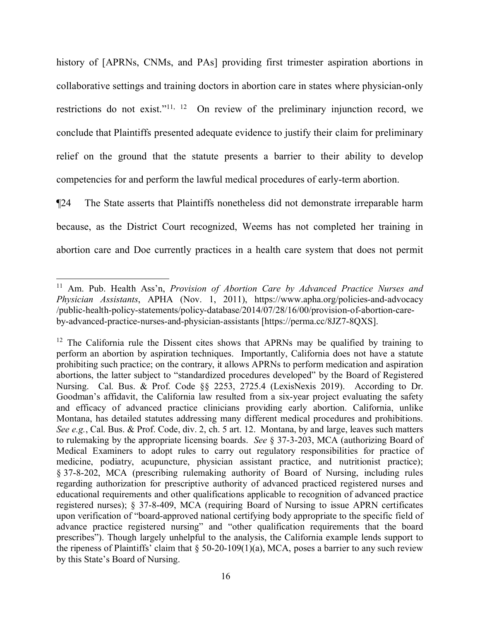history of [APRNs, CNMs, and PAs] providing first trimester aspiration abortions in collaborative settings and training doctors in abortion care in states where physician-only restrictions do not exist."[11](#page-15-0), [12](#page-15-1) On review of the preliminary injunction record, we conclude that Plaintiffs presented adequate evidence to justify their claim for preliminary relief on the ground that the statute presents a barrier to their ability to develop competencies for and perform the lawful medical procedures of early-term abortion.

¶24 The State asserts that Plaintiffs nonetheless did not demonstrate irreparable harm because, as the District Court recognized, Weems has not completed her training in abortion care and Doe currently practices in a health care system that does not permit

<span id="page-15-0"></span><sup>&</sup>lt;sup>11</sup> Am. Pub. Health Ass'n, *Provision of Abortion Care by Advanced Practice Nurses and Physician Assistants*, APHA (Nov. 1, 2011), https://www.apha.org/policies-and-advocacy /public-health-policy-statements/policy-database/2014/07/28/16/00/provision-of-abortion-careby-advanced-practice-nurses-and-physician-assistants [https://perma.cc/8JZ7-8QXS].

<span id="page-15-1"></span> $12$  The California rule the Dissent cites shows that APRNs may be qualified by training to perform an abortion by aspiration techniques. Importantly, California does not have a statute prohibiting such practice; on the contrary, it allows APRNs to perform medication and aspiration abortions, the latter subject to "standardized procedures developed" by the Board of Registered Nursing. Cal. Bus. & Prof. Code §§ 2253, 2725.4 (LexisNexis 2019). According to Dr. Goodman's affidavit, the California law resulted from a six-year project evaluating the safety and efficacy of advanced practice clinicians providing early abortion. California, unlike Montana, has detailed statutes addressing many different medical procedures and prohibitions. *See e.g.*, Cal. Bus. & Prof. Code, div. 2, ch. 5 art. 12. Montana, by and large, leaves such matters to rulemaking by the appropriate licensing boards. *See* § 37-3-203, MCA (authorizing Board of Medical Examiners to adopt rules to carry out regulatory responsibilities for practice of medicine, podiatry, acupuncture, physician assistant practice, and nutritionist practice); § 37-8-202, MCA (prescribing rulemaking authority of Board of Nursing, including rules regarding authorization for prescriptive authority of advanced practiced registered nurses and educational requirements and other qualifications applicable to recognition of advanced practice registered nurses); § 37-8-409, MCA (requiring Board of Nursing to issue APRN certificates upon verification of "board-approved national certifying body appropriate to the specific field of advance practice registered nursing" and "other qualification requirements that the board prescribes"). Though largely unhelpful to the analysis, the California example lends support to the ripeness of Plaintiffs' claim that  $\S$  50-20-109(1)(a), MCA, poses a barrier to any such review by this State's Board of Nursing.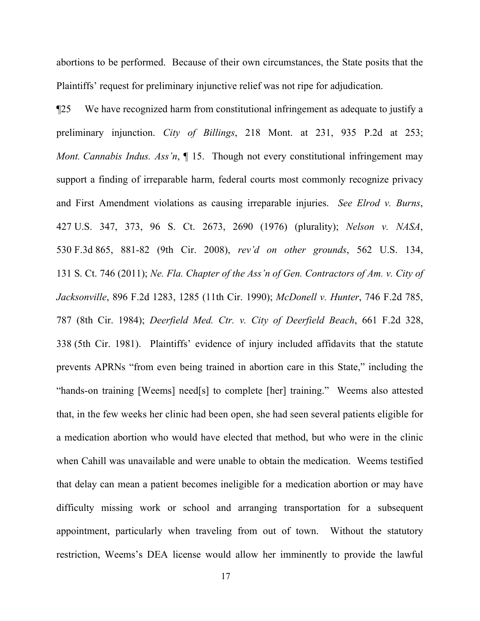abortions to be performed. Because of their own circumstances, the State posits that the Plaintiffs' request for preliminary injunctive relief was not ripe for adjudication.

¶25 We have recognized harm from constitutional infringement as adequate to justify a preliminary injunction. *City of Billings*, 218 Mont. at 231, 935 P.2d at 253; *Mont. Cannabis Indus. Ass'n*, ¶ 15. Though not every constitutional infringement may support a finding of irreparable harm, federal courts most commonly recognize privacy and First Amendment violations as causing irreparable injuries. *See Elrod v. Burns*, 427 U.S. 347, 373, 96 S. Ct. 2673, 2690 (1976) (plurality); *Nelson v. NASA*, 530 F.3d 865, 881-82 (9th Cir. 2008), *rev'd on other grounds*, 562 U.S. 134, 131 S. Ct. 746 (2011); *Ne. Fla. Chapter of the Ass'n of Gen. Contractors of Am. v. City of Jacksonville*, 896 F.2d 1283, 1285 (11th Cir. 1990); *McDonell v. Hunter*, 746 F.2d 785, 787 (8th Cir. 1984); *Deerfield Med. Ctr. v. City of Deerfield Beach*, 661 F.2d 328, 338 (5th Cir. 1981). Plaintiffs' evidence of injury included affidavits that the statute prevents APRNs "from even being trained in abortion care in this State," including the "hands-on training [Weems] need[s] to complete [her] training." Weems also attested that, in the few weeks her clinic had been open, she had seen several patients eligible for a medication abortion who would have elected that method, but who were in the clinic when Cahill was unavailable and were unable to obtain the medication. Weems testified that delay can mean a patient becomes ineligible for a medication abortion or may have difficulty missing work or school and arranging transportation for a subsequent appointment, particularly when traveling from out of town. Without the statutory restriction, Weems's DEA license would allow her imminently to provide the lawful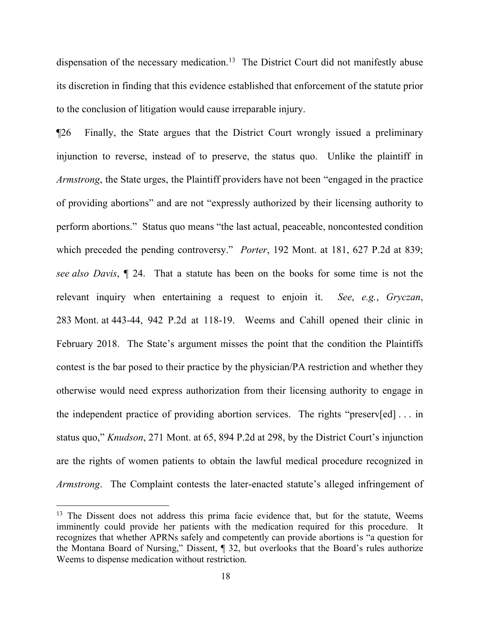dispensation of the necessary medication.<sup>[13](#page-17-0)</sup> The District Court did not manifestly abuse its discretion in finding that this evidence established that enforcement of the statute prior to the conclusion of litigation would cause irreparable injury.

¶26 Finally, the State argues that the District Court wrongly issued a preliminary injunction to reverse, instead of to preserve, the status quo. Unlike the plaintiff in *Armstrong*, the State urges, the Plaintiff providers have not been "engaged in the practice of providing abortions" and are not "expressly authorized by their licensing authority to perform abortions." Status quo means "the last actual, peaceable, noncontested condition which preceded the pending controversy." *Porter*, 192 Mont. at 181, 627 P.2d at 839; *see also Davis*, ¶ 24. That a statute has been on the books for some time is not the relevant inquiry when entertaining a request to enjoin it. *See*, *e.g.*, *Gryczan*, 283 Mont. at 443-44, 942 P.2d at 118-19. Weems and Cahill opened their clinic in February 2018. The State's argument misses the point that the condition the Plaintiffs contest is the bar posed to their practice by the physician/PA restriction and whether they otherwise would need express authorization from their licensing authority to engage in the independent practice of providing abortion services. The rights "preserv[ed] . . . in status quo," *Knudson*, 271 Mont. at 65, 894 P.2d at 298, by the District Court's injunction are the rights of women patients to obtain the lawful medical procedure recognized in *Armstrong*. The Complaint contests the later-enacted statute's alleged infringement of

<span id="page-17-0"></span><sup>&</sup>lt;sup>13</sup> The Dissent does not address this prima facie evidence that, but for the statute, Weems imminently could provide her patients with the medication required for this procedure. It recognizes that whether APRNs safely and competently can provide abortions is "a question for the Montana Board of Nursing," Dissent, ¶ 32, but overlooks that the Board's rules authorize Weems to dispense medication without restriction.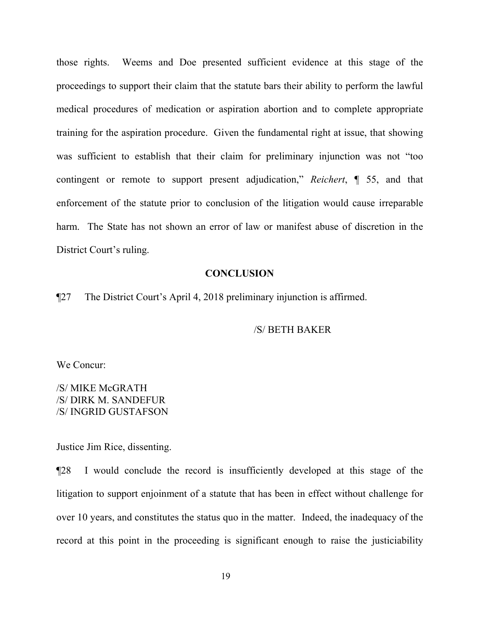those rights. Weems and Doe presented sufficient evidence at this stage of the proceedings to support their claim that the statute bars their ability to perform the lawful medical procedures of medication or aspiration abortion and to complete appropriate training for the aspiration procedure. Given the fundamental right at issue, that showing was sufficient to establish that their claim for preliminary injunction was not "too contingent or remote to support present adjudication," *Reichert*, ¶ 55, and that enforcement of the statute prior to conclusion of the litigation would cause irreparable harm. The State has not shown an error of law or manifest abuse of discretion in the District Court's ruling.

## **CONCLUSION**

¶27 The District Court's April 4, 2018 preliminary injunction is affirmed.

## /S/ BETH BAKER

We Concur:

/S/ MIKE McGRATH /S/ DIRK M. SANDEFUR /S/ INGRID GUSTAFSON

Justice Jim Rice, dissenting.

¶28 I would conclude the record is insufficiently developed at this stage of the litigation to support enjoinment of a statute that has been in effect without challenge for over 10 years, and constitutes the status quo in the matter. Indeed, the inadequacy of the record at this point in the proceeding is significant enough to raise the justiciability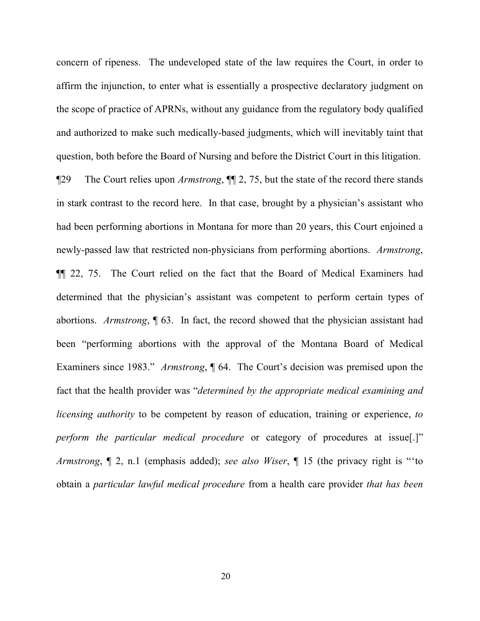concern of ripeness. The undeveloped state of the law requires the Court, in order to affirm the injunction, to enter what is essentially a prospective declaratory judgment on the scope of practice of APRNs, without any guidance from the regulatory body qualified and authorized to make such medically-based judgments, which will inevitably taint that question, both before the Board of Nursing and before the District Court in this litigation.

¶29 The Court relies upon *Armstrong*, ¶¶ 2, 75, but the state of the record there stands in stark contrast to the record here. In that case, brought by a physician's assistant who had been performing abortions in Montana for more than 20 years, this Court enjoined a newly-passed law that restricted non-physicians from performing abortions. *Armstrong*, ¶¶ 22, 75. The Court relied on the fact that the Board of Medical Examiners had determined that the physician's assistant was competent to perform certain types of abortions. *Armstrong*, ¶ 63. In fact, the record showed that the physician assistant had been "performing abortions with the approval of the Montana Board of Medical Examiners since 1983." *Armstrong*, ¶ 64. The Court's decision was premised upon the fact that the health provider was "*determined by the appropriate medical examining and licensing authority* to be competent by reason of education, training or experience, *to perform the particular medical procedure* or category of procedures at issue[.]" *Armstrong*, ¶ 2, n.1 (emphasis added); *see also Wiser*, ¶ 15 (the privacy right is "'to obtain a *particular lawful medical procedure* from a health care provider *that has been*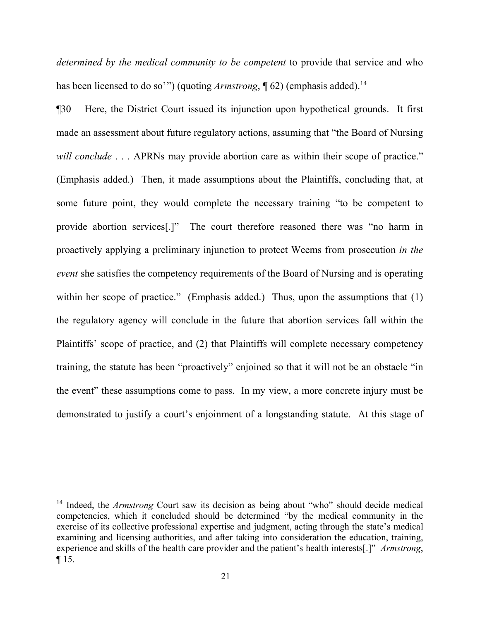*determined by the medical community to be competent* to provide that service and who has been licensed to do so'") (quoting *Armstrong*, 162) (emphasis added).<sup>[14](#page-20-0)</sup>

¶30 Here, the District Court issued its injunction upon hypothetical grounds. It first made an assessment about future regulatory actions, assuming that "the Board of Nursing *will conclude* . . . APRNs may provide abortion care as within their scope of practice." (Emphasis added.) Then, it made assumptions about the Plaintiffs, concluding that, at some future point, they would complete the necessary training "to be competent to provide abortion services[.]" The court therefore reasoned there was "no harm in proactively applying a preliminary injunction to protect Weems from prosecution *in the event* she satisfies the competency requirements of the Board of Nursing and is operating within her scope of practice." (Emphasis added.) Thus, upon the assumptions that (1) the regulatory agency will conclude in the future that abortion services fall within the Plaintiffs' scope of practice, and (2) that Plaintiffs will complete necessary competency training, the statute has been "proactively" enjoined so that it will not be an obstacle "in the event" these assumptions come to pass. In my view, a more concrete injury must be demonstrated to justify a court's enjoinment of a longstanding statute. At this stage of

<span id="page-20-0"></span><sup>&</sup>lt;sup>14</sup> Indeed, the *Armstrong* Court saw its decision as being about "who" should decide medical competencies, which it concluded should be determined "by the medical community in the exercise of its collective professional expertise and judgment, acting through the state's medical examining and licensing authorities, and after taking into consideration the education, training, experience and skills of the health care provider and the patient's health interests[.]" *Armstrong*, ¶ 15.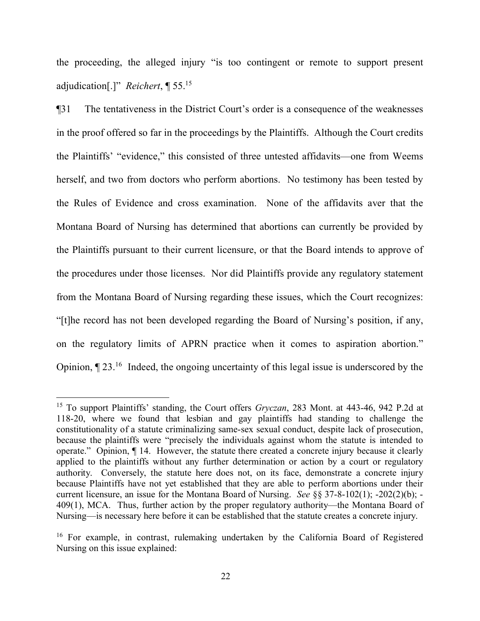the proceeding, the alleged injury "is too contingent or remote to support present adjudication[.]" *Reichert*, ¶ 55.[15](#page-21-0)

¶31 The tentativeness in the District Court's order is a consequence of the weaknesses in the proof offered so far in the proceedings by the Plaintiffs. Although the Court credits the Plaintiffs' "evidence," this consisted of three untested affidavits—one from Weems herself, and two from doctors who perform abortions. No testimony has been tested by the Rules of Evidence and cross examination. None of the affidavits aver that the Montana Board of Nursing has determined that abortions can currently be provided by the Plaintiffs pursuant to their current licensure, or that the Board intends to approve of the procedures under those licenses. Nor did Plaintiffs provide any regulatory statement from the Montana Board of Nursing regarding these issues, which the Court recognizes: "[t]he record has not been developed regarding the Board of Nursing's position, if any, on the regulatory limits of APRN practice when it comes to aspiration abortion." Opinion,  $\P$  23.<sup>[16](#page-21-1)</sup> Indeed, the ongoing uncertainty of this legal issue is underscored by the

<span id="page-21-0"></span><sup>15</sup> To support Plaintiffs' standing, the Court offers *Gryczan*, 283 Mont. at 443-46, 942 P.2d at 118-20, where we found that lesbian and gay plaintiffs had standing to challenge the constitutionality of a statute criminalizing same-sex sexual conduct, despite lack of prosecution, because the plaintiffs were "precisely the individuals against whom the statute is intended to operate." Opinion, ¶ 14. However, the statute there created a concrete injury because it clearly applied to the plaintiffs without any further determination or action by a court or regulatory authority. Conversely, the statute here does not, on its face, demonstrate a concrete injury because Plaintiffs have not yet established that they are able to perform abortions under their current licensure, an issue for the Montana Board of Nursing. *See* §§ 37-8-102(1); -202(2)(b); - 409(1), MCA. Thus, further action by the proper regulatory authority—the Montana Board of Nursing—is necessary here before it can be established that the statute creates a concrete injury.

<span id="page-21-1"></span><sup>&</sup>lt;sup>16</sup> For example, in contrast, rulemaking undertaken by the California Board of Registered Nursing on this issue explained: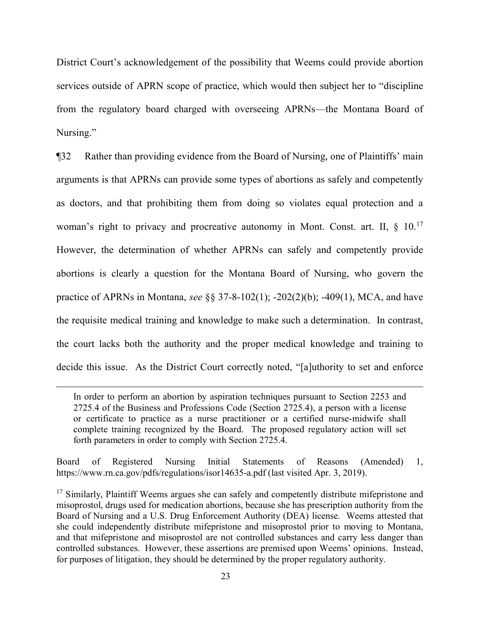District Court's acknowledgement of the possibility that Weems could provide abortion services outside of APRN scope of practice, which would then subject her to "discipline from the regulatory board charged with overseeing APRNs—the Montana Board of Nursing."

¶32 Rather than providing evidence from the Board of Nursing, one of Plaintiffs' main arguments is that APRNs can provide some types of abortions as safely and competently as doctors, and that prohibiting them from doing so violates equal protection and a woman's right to privacy and procreative autonomy in Mont. Const. art. II, § 10.<sup>[17](#page-22-0)</sup> However, the determination of whether APRNs can safely and competently provide abortions is clearly a question for the Montana Board of Nursing, who govern the practice of APRNs in Montana, *see* §§ 37-8-102(1); -202(2)(b); -409(1), MCA, and have the requisite medical training and knowledge to make such a determination. In contrast, the court lacks both the authority and the proper medical knowledge and training to decide this issue. As the District Court correctly noted, "[a]uthority to set and enforce

 $\overline{a}$ 

Board of Registered Nursing Initial Statements of Reasons (Amended) 1, https://www.rn.ca.gov/pdfs/regulations/isor14635-a.pdf (last visited Apr. 3, 2019).

In order to perform an abortion by aspiration techniques pursuant to Section 2253 and 2725.4 of the Business and Professions Code (Section 2725.4), a person with a license or certificate to practice as a nurse practitioner or a certified nurse-midwife shall complete training recognized by the Board. The proposed regulatory action will set forth parameters in order to comply with Section 2725.4.

<span id="page-22-0"></span><sup>&</sup>lt;sup>17</sup> Similarly, Plaintiff Weems argues she can safely and competently distribute mifepristone and misoprostol, drugs used for medication abortions, because she has prescription authority from the Board of Nursing and a U.S. Drug Enforcement Authority (DEA) license. Weems attested that she could independently distribute mifepristone and misoprostol prior to moving to Montana, and that mifepristone and misoprostol are not controlled substances and carry less danger than controlled substances. However, these assertions are premised upon Weems' opinions. Instead, for purposes of litigation, they should be determined by the proper regulatory authority.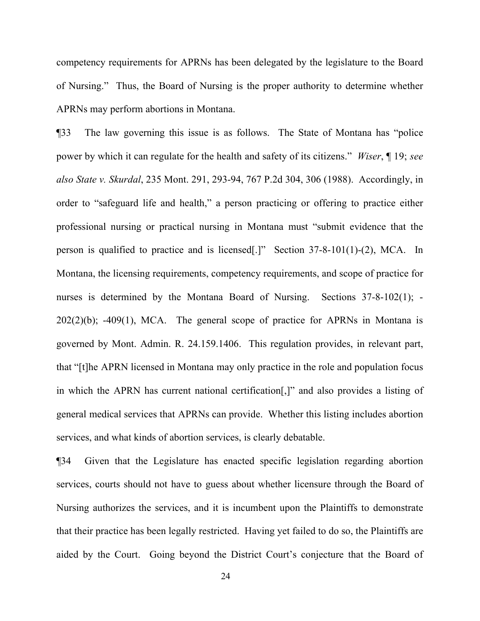competency requirements for APRNs has been delegated by the legislature to the Board of Nursing." Thus, the Board of Nursing is the proper authority to determine whether APRNs may perform abortions in Montana.

¶33 The law governing this issue is as follows. The State of Montana has "police power by which it can regulate for the health and safety of its citizens." *Wiser*, ¶ 19; *see also State v. Skurdal*, 235 Mont. 291, 293-94, 767 P.2d 304, 306 (1988). Accordingly, in order to "safeguard life and health," a person practicing or offering to practice either professional nursing or practical nursing in Montana must "submit evidence that the person is qualified to practice and is licensed[.]" Section 37-8-101(1)-(2), MCA. In Montana, the licensing requirements, competency requirements, and scope of practice for nurses is determined by the Montana Board of Nursing. Sections 37-8-102(1); - $202(2)(b)$ ;  $-409(1)$ , MCA. The general scope of practice for APRNs in Montana is governed by Mont. Admin. R. 24.159.1406. This regulation provides, in relevant part, that "[t]he APRN licensed in Montana may only practice in the role and population focus in which the APRN has current national certification[,]" and also provides a listing of general medical services that APRNs can provide. Whether this listing includes abortion services, and what kinds of abortion services, is clearly debatable.

¶34 Given that the Legislature has enacted specific legislation regarding abortion services, courts should not have to guess about whether licensure through the Board of Nursing authorizes the services, and it is incumbent upon the Plaintiffs to demonstrate that their practice has been legally restricted. Having yet failed to do so, the Plaintiffs are aided by the Court. Going beyond the District Court's conjecture that the Board of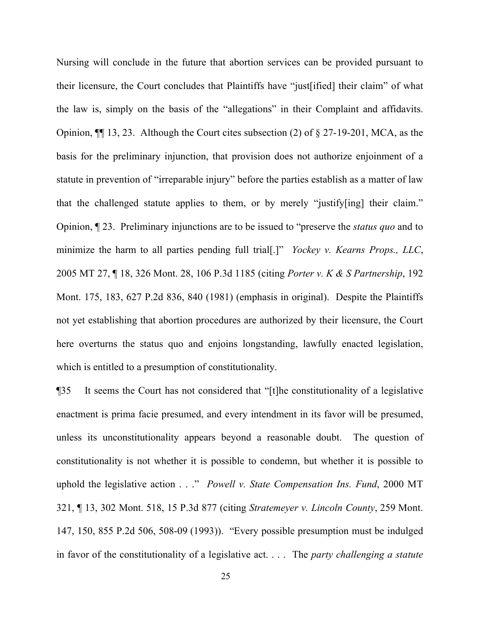Nursing will conclude in the future that abortion services can be provided pursuant to their licensure, the Court concludes that Plaintiffs have "just[ified] their claim" of what the law is, simply on the basis of the "allegations" in their Complaint and affidavits. Opinion, ¶¶ 13, 23. Although the Court cites subsection (2) of § 27-19-201, MCA, as the basis for the preliminary injunction, that provision does not authorize enjoinment of a statute in prevention of "irreparable injury" before the parties establish as a matter of law that the challenged statute applies to them, or by merely "justify[ing] their claim." Opinion, ¶ 23. Preliminary injunctions are to be issued to "preserve the *status quo* and to minimize the harm to all parties pending full trial[.]" *Yockey v. Kearns Props., LLC*, 2005 MT 27, ¶ 18, 326 Mont. 28, 106 P.3d 1185 (citing *Porter v. K & S Partnership*, 192 Mont. 175, 183, 627 P.2d 836, 840 (1981) (emphasis in original). Despite the Plaintiffs not yet establishing that abortion procedures are authorized by their licensure, the Court here overturns the status quo and enjoins longstanding, lawfully enacted legislation, which is entitled to a presumption of constitutionality.

¶35 It seems the Court has not considered that "[t]he constitutionality of a legislative enactment is prima facie presumed, and every intendment in its favor will be presumed, unless its unconstitutionality appears beyond a reasonable doubt. The question of constitutionality is not whether it is possible to condemn, but whether it is possible to uphold the legislative action . . ." *Powell v. State Compensation Ins. Fund*, 2000 MT 321, ¶ 13, 302 Mont. 518, 15 P.3d 877 (citing *Stratemeyer v. Lincoln County*, 259 Mont. 147, 150, 855 P.2d 506, 508-09 (1993)). "Every possible presumption must be indulged in favor of the constitutionality of a legislative act. . . . The *party challenging a statute*